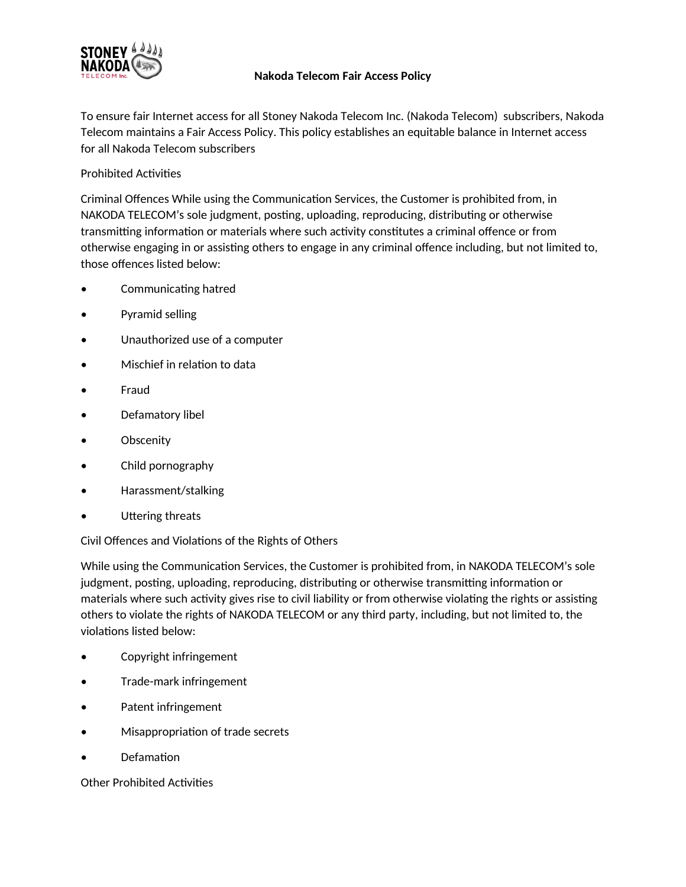

## **Nakoda Telecom Fair Access Policy**

To ensure fair Internet access for all Stoney Nakoda Telecom Inc. (Nakoda Telecom) subscribers, Nakoda Telecom maintains a Fair Access Policy. This policy establishes an equitable balance in Internet access for all Nakoda Telecom subscribers

## Prohibited Activities

Criminal Offences While using the Communication Services, the Customer is prohibited from, in NAKODA TELECOM's sole judgment, posting, uploading, reproducing, distributing or otherwise transmitting information or materials where such activity constitutes a criminal offence or from otherwise engaging in or assisting others to engage in any criminal offence including, but not limited to, those offences listed below:

- Communicating hatred
- Pyramid selling
- Unauthorized use of a computer
- Mischief in relation to data
- Fraud
- Defamatory libel
- Obscenity
- Child pornography
- Harassment/stalking
- Uttering threats

Civil Offences and Violations of the Rights of Others

While using the Communication Services, the Customer is prohibited from, in NAKODA TELECOM's sole judgment, posting, uploading, reproducing, distributing or otherwise transmitting information or materials where such activity gives rise to civil liability or from otherwise violating the rights or assisting others to violate the rights of NAKODA TELECOM or any third party, including, but not limited to, the violations listed below:

- Copyright infringement
- Trade-mark infringement
- Patent infringement
- Misappropriation of trade secrets
- Defamation

Other Prohibited Activities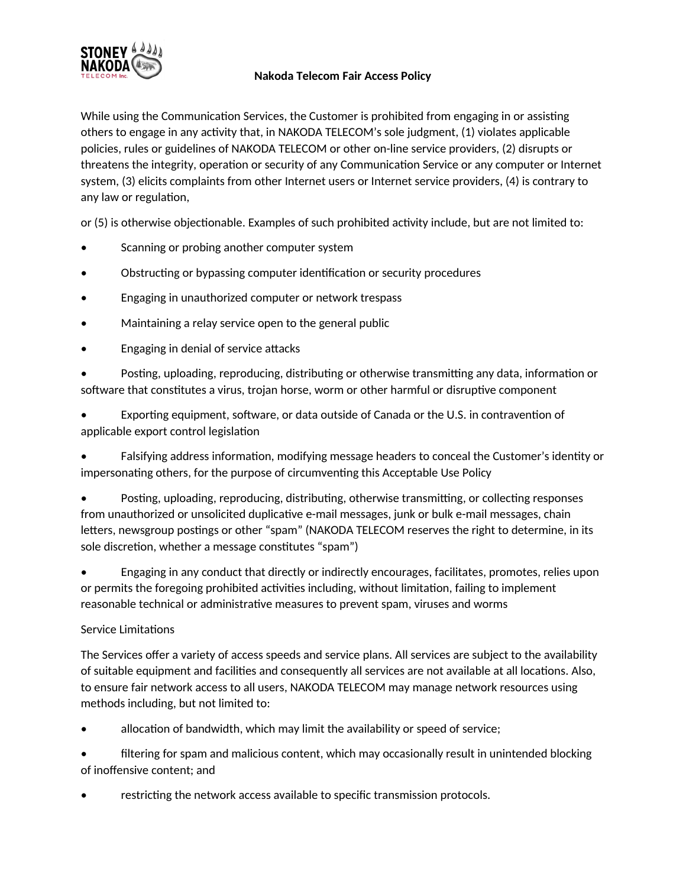

## **Nakoda Telecom Fair Access Policy**

While using the Communication Services, the Customer is prohibited from engaging in or assisting others to engage in any activity that, in NAKODA TELECOM's sole judgment, (1) violates applicable policies, rules or guidelines of NAKODA TELECOM or other on-line service providers, (2) disrupts or threatens the integrity, operation or security of any Communication Service or any computer or Internet system, (3) elicits complaints from other Internet users or Internet service providers, (4) is contrary to any law or regulation,

or (5) is otherwise objectionable. Examples of such prohibited activity include, but are not limited to:

- Scanning or probing another computer system
- Obstructing or bypassing computer identification or security procedures
- Engaging in unauthorized computer or network trespass
- Maintaining a relay service open to the general public
- Engaging in denial of service attacks

• Posting, uploading, reproducing, distributing or otherwise transmitting any data, information or software that constitutes a virus, trojan horse, worm or other harmful or disruptive component

• Exporting equipment, software, or data outside of Canada or the U.S. in contravention of applicable export control legislation

• Falsifying address information, modifying message headers to conceal the Customer's identity or impersonating others, for the purpose of circumventing this Acceptable Use Policy

• Posting, uploading, reproducing, distributing, otherwise transmitting, or collecting responses from unauthorized or unsolicited duplicative e-mail messages, junk or bulk e-mail messages, chain letters, newsgroup postings or other "spam" (NAKODA TELECOM reserves the right to determine, in its sole discretion, whether a message constitutes "spam")

• Engaging in any conduct that directly or indirectly encourages, facilitates, promotes, relies upon or permits the foregoing prohibited activities including, without limitation, failing to implement reasonable technical or administrative measures to prevent spam, viruses and worms

## Service Limitations

The Services offer a variety of access speeds and service plans. All services are subject to the availability of suitable equipment and facilities and consequently all services are not available at all locations. Also, to ensure fair network access to all users, NAKODA TELECOM may manage network resources using methods including, but not limited to:

allocation of bandwidth, which may limit the availability or speed of service;

filtering for spam and malicious content, which may occasionally result in unintended blocking of inoffensive content; and

restricting the network access available to specific transmission protocols.